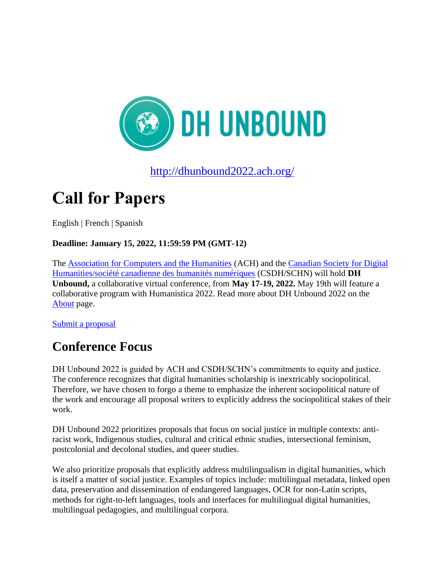

<http://dhunbound2022.ach.org/>

# **Call for Papers**

English | French | Spanish

#### **Deadline: January 15, 2022, 11:59:59 PM (GMT-12)**

The [Association for Computers and the Humanities](http://ach.org/) (ACH) and the [Canadian Society for Digital](https://csdh-schn.org/)  [Humanities/société canadienne des humanités numériques](https://csdh-schn.org/) (CSDH/SCHN) will hold **DH Unbound,** a collaborative virtual conference, from **May 17-19, 2022.** May 19th will feature a collaborative program with Humanistica 2022. Read more about DH Unbound 2022 on the [About](https://docs.google.com/document/d/1sAdHyjgZTp_i6awZrKFwJg-dXq_9icoNd-AYVZMmb3g/edit?usp=sharing) page.

[Submit a proposal](https://www.conftool.org/dhunbound2022)

### **Conference Focus**

DH Unbound 2022 is guided by ACH and CSDH/SCHN's commitments to equity and justice. The conference recognizes that digital humanities scholarship is inextricably sociopolitical. Therefore, we have chosen to forgo a theme to emphasize the inherent sociopolitical nature of the work and encourage all proposal writers to explicitly address the sociopolitical stakes of their work.

DH Unbound 2022 prioritizes proposals that focus on social justice in multiple contexts: antiracist work, Indigenous studies, cultural and critical ethnic studies, intersectional feminism, postcolonial and decolonal studies, and queer studies.

We also prioritize proposals that explicitly address multilingualism in digital humanities, which is itself a matter of social justice. Examples of topics include: multilingual metadata, linked open data, preservation and dissemination of endangered languages, OCR for non-Latin scripts, methods for right-to-left languages, tools and interfaces for multilingual digital humanities, multilingual pedagogies, and multilingual corpora.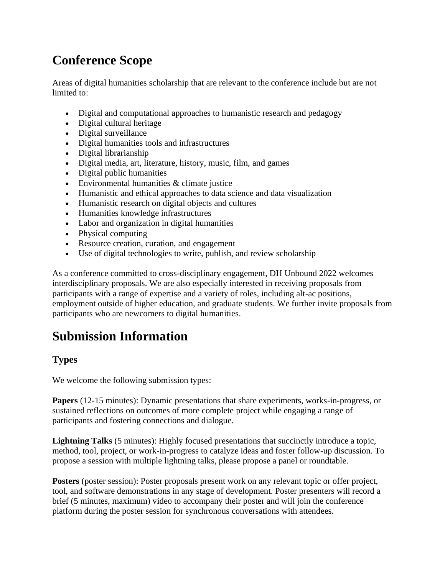## **Conference Scope**

Areas of digital humanities scholarship that are relevant to the conference include but are not limited to:

- Digital and computational approaches to humanistic research and pedagogy
- Digital cultural heritage
- Digital surveillance
- Digital humanities tools and infrastructures
- Digital librarianship
- Digital media, art, literature, history, music, film, and games
- Digital public humanities
- Environmental humanities & climate justice
- Humanistic and ethical approaches to data science and data visualization
- Humanistic research on digital objects and cultures
- Humanities knowledge infrastructures
- Labor and organization in digital humanities
- Physical computing
- Resource creation, curation, and engagement
- Use of digital technologies to write, publish, and review scholarship

As a conference committed to cross-disciplinary engagement, DH Unbound 2022 welcomes interdisciplinary proposals. We are also especially interested in receiving proposals from participants with a range of expertise and a variety of roles, including alt-ac positions, employment outside of higher education, and graduate students. We further invite proposals from participants who are newcomers to digital humanities.

### **Submission Information**

### **Types**

We welcome the following submission types:

**Papers** (12-15 minutes): Dynamic presentations that share experiments, works-in-progress, or sustained reflections on outcomes of more complete project while engaging a range of participants and fostering connections and dialogue.

**Lightning Talks** (5 minutes): Highly focused presentations that succinctly introduce a topic, method, tool, project, or work-in-progress to catalyze ideas and foster follow-up discussion. To propose a session with multiple lightning talks, please propose a panel or roundtable.

**Posters** (poster session): Poster proposals present work on any relevant topic or offer project, tool, and software demonstrations in any stage of development. Poster presenters will record a brief (5 minutes, maximum) video to accompany their poster and will join the conference platform during the poster session for synchronous conversations with attendees.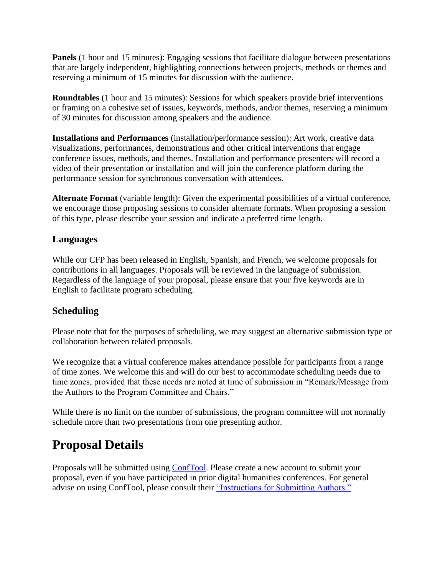**Panels** (1 hour and 15 minutes): Engaging sessions that facilitate dialogue between presentations that are largely independent, highlighting connections between projects, methods or themes and reserving a minimum of 15 minutes for discussion with the audience.

**Roundtables** (1 hour and 15 minutes): Sessions for which speakers provide brief interventions or framing on a cohesive set of issues, keywords, methods, and/or themes, reserving a minimum of 30 minutes for discussion among speakers and the audience.

**Installations and Performances** (installation/performance session): Art work, creative data visualizations, performances, demonstrations and other critical interventions that engage conference issues, methods, and themes. Installation and performance presenters will record a video of their presentation or installation and will join the conference platform during the performance session for synchronous conversation with attendees.

**Alternate Format** (variable length): Given the experimental possibilities of a virtual conference, we encourage those proposing sessions to consider alternate formats. When proposing a session of this type, please describe your session and indicate a preferred time length.

#### **Languages**

While our CFP has been released in English, Spanish, and French, we welcome proposals for contributions in all languages. Proposals will be reviewed in the language of submission. Regardless of the language of your proposal, please ensure that your five keywords are in English to facilitate program scheduling.

### **Scheduling**

Please note that for the purposes of scheduling, we may suggest an alternative submission type or collaboration between related proposals.

We recognize that a virtual conference makes attendance possible for participants from a range of time zones. We welcome this and will do our best to accommodate scheduling needs due to time zones, provided that these needs are noted at time of submission in "Remark/Message from the Authors to the Program Committee and Chairs."

While there is no limit on the number of submissions, the program committee will not normally schedule more than two presentations from one presenting author.

### **Proposal Details**

Proposals will be submitted using [ConfTool.](https://www.conftool.org/dhunbound2022/) Please create a new account to submit your proposal, even if you have participated in prior digital humanities conferences. For general advise on using ConfTool, please consult their ["Instructions for Submitting Authors."](https://www.conftool.net/en/user_documentation/instructions_for_authors.html)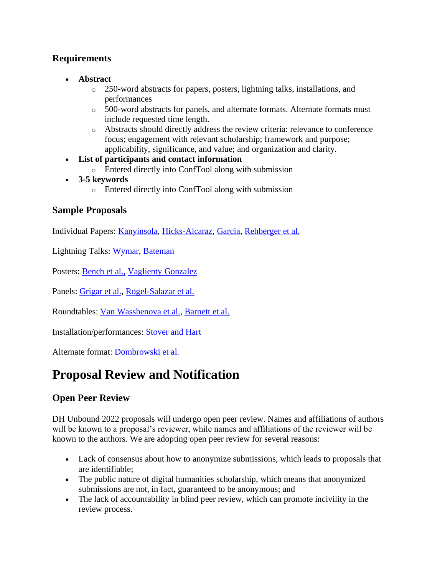#### **Requirements**

- **Abstract**
	- o 250-word abstracts for papers, posters, lightning talks, installations, and performances
	- o 500-word abstracts for panels, and alternate formats. Alternate formats must include requested time length.
	- o Abstracts should directly address the review criteria: relevance to conference focus; engagement with relevant scholarship; framework and purpose; applicability, significance, and value; and organization and clarity.
- **List of participants and contact information**
	- o Entered directly into ConfTool along with submission
- **3-5 keywords** 
	- o Entered directly into ConfTool along with submission

#### **Sample Proposals**

Individual Papers: [Kanyinsola,](https://dhunbound2022.ach.org/individual-paper-sample-proposals/#sample-1) [Hicks-Alcaraz,](https://dhunbound2022.ach.org/individual-paper-sample-proposals/#sample-2) [Garcia,](https://dhunbound2022.ach.org/individual-paper-sample-proposals/#sample-3) [Rehberger et al.](https://dhunbound2022.ach.org/individual-paper-sample-proposals/#sample-4)

Lightning Talks: [Wymar,](https://dhunbound2022.ach.org/lightning-talk-sample-proposals/#sample-1) [Bateman](https://dhunbound2022.ach.org/lightning-talk-sample-proposals/#sample-2)

Posters: [Bench et al.,](https://dhunbound2022.ach.org/poster-sample-proposals/) [Vaglienty Gonzalez](https://dhunbound2022.ach.org/poster-sample-proposals/#sample-2)

Panels: [Grigar et al.,](https://dhunbound2022.ach.org/panel-sample-proposals/#sample-1) [Rogel-Salazar et al.](https://dhunbound2022.ach.org/panel-sample-proposals/#sample-2)

Roundtables: [Van Wasshenova et al.,](https://dhunbound2022.ach.org/roundtable-sample-proposals/#sample-1) [Barnett et al.](https://dhunbound2022.ach.org/roundtable-sample-proposals/#sample-2)

Installation/performances: [Stover and Hart](https://dhunbound2022.ach.org/installation-sample-proposals/#sample-1)

Alternate format: [Dombrowski et al.](https://dhunbound2022.ach.org/alternate-format-sample-proposals/#sample-1)

### **Proposal Review and Notification**

### **Open Peer Review**

DH Unbound 2022 proposals will undergo open peer review. Names and affiliations of authors will be known to a proposal's reviewer, while names and affiliations of the reviewer will be known to the authors. We are adopting open peer review for several reasons:

- Lack of consensus about how to anonymize submissions, which leads to proposals that are identifiable;
- The public nature of digital humanities scholarship, which means that anonymized submissions are not, in fact, guaranteed to be anonymous; and
- The lack of accountability in blind peer review, which can promote incivility in the review process.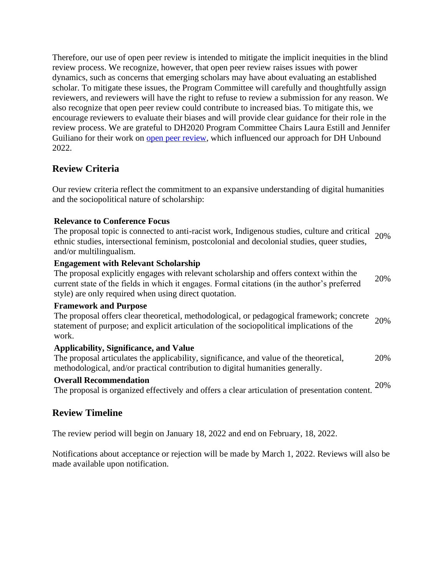Therefore, our use of open peer review is intended to mitigate the implicit inequities in the blind review process. We recognize, however, that open peer review raises issues with power dynamics, such as concerns that emerging scholars may have about evaluating an established scholar. To mitigate these issues, the Program Committee will carefully and thoughtfully assign reviewers, and reviewers will have the right to refuse to review a submission for any reason. We also recognize that open peer review could contribute to increased bias. To mitigate this, we encourage reviewers to evaluate their biases and will provide clear guidance for their role in the review process. We are grateful to DH2020 Program Committee Chairs Laura Estill and Jennifer Guiliano for their work on [open peer review,](https://dh2020.adho.org/guidelines/the-open-peer-review-process/) which influenced our approach for DH Unbound 2022.

#### **Review Criteria**

Our review criteria reflect the commitment to an expansive understanding of digital humanities and the sociopolitical nature of scholarship:

#### **Relevance to Conference Focus**

The proposal topic is connected to anti-racist work, Indigenous studies, culture and critical ethnic studies, intersectional feminism, postcolonial and decolonial studies, queer studies, and/or multilingualism. 20%

#### **Engagement with Relevant Scholarship**

The proposal explicitly engages with relevant scholarship and offers context within the current state of the fields in which it engages. Formal citations (in the author's preferred style) are only required when using direct quotation. 20%

#### **Framework and Purpose**

The proposal offers clear theoretical, methodological, or pedagogical framework; concrete statement of purpose; and explicit articulation of the sociopolitical implications of the work. 20%

#### **Applicability, Significance, and Value**

The proposal articulates the applicability, significance, and value of the theoretical, methodological, and/or practical contribution to digital humanities generally. 20%

#### **Overall Recommendation**

The proposal is organized effectively and offers a clear articulation of presentation content. 20%

#### **Review Timeline**

The review period will begin on January 18, 2022 and end on February, 18, 2022.

Notifications about acceptance or rejection will be made by March 1, 2022. Reviews will also be made available upon notification.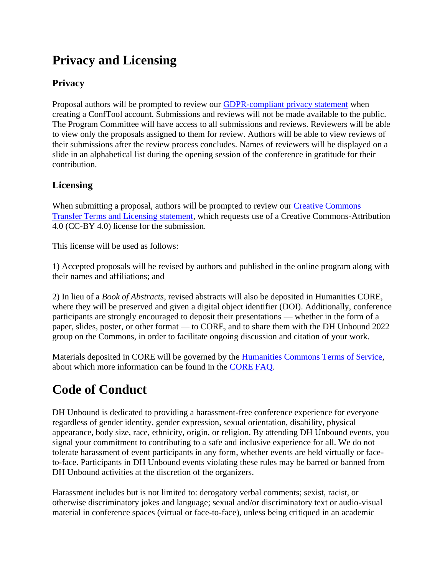## **Privacy and Licensing**

### **Privacy**

Proposal authors will be prompted to review our [GDPR-compliant privacy statement](https://www.conftool.org/dhunbound2022/privacy.php) when creating a ConfTool account. Submissions and reviews will not be made available to the public. The Program Committee will have access to all submissions and reviews. Reviewers will be able to view only the proposals assigned to them for review. Authors will be able to view reviews of their submissions after the review process concludes. Names of reviewers will be displayed on a slide in an alphabetical list during the opening session of the conference in gratitude for their contribution.

### **Licensing**

When submitting a proposal, authors will be prompted to review our [Creative Commons](https://dhunbound2022.ach.org/creative-commons-transfer-terms-and-licensing/)  [Transfer Terms and Licensing statement,](https://dhunbound2022.ach.org/creative-commons-transfer-terms-and-licensing/) which requests use of a Creative Commons-Attribution 4.0 (CC-BY 4.0) license for the submission.

This license will be used as follows:

1) Accepted proposals will be revised by authors and published in the online program along with their names and affiliations; and

2) In lieu of a *Book of Abstracts*, revised abstracts will also be deposited in Humanities CORE, where they will be preserved and given a digital object identifier (DOI). Additionally, conference participants are strongly encouraged to deposit their presentations — whether in the form of a paper, slides, poster, or other format — to CORE, and to share them with the DH Unbound 2022 group on the Commons, in order to facilitate ongoing discussion and citation of your work.

Materials deposited in CORE will be governed by the **Humanities Commons Terms of Service**, about which more information can be found in the [CORE FAQ.](https://hcommons.org/core/faq/)

## **Code of Conduct**

DH Unbound is dedicated to providing a harassment-free conference experience for everyone regardless of gender identity, gender expression, sexual orientation, disability, physical appearance, body size, race, ethnicity, origin, or religion. By attending DH Unbound events, you signal your commitment to contributing to a safe and inclusive experience for all. We do not tolerate harassment of event participants in any form, whether events are held virtually or faceto-face. Participants in DH Unbound events violating these rules may be barred or banned from DH Unbound activities at the discretion of the organizers.

Harassment includes but is not limited to: derogatory verbal comments; sexist, racist, or otherwise discriminatory jokes and language; sexual and/or discriminatory text or audio-visual material in conference spaces (virtual or face-to-face), unless being critiqued in an academic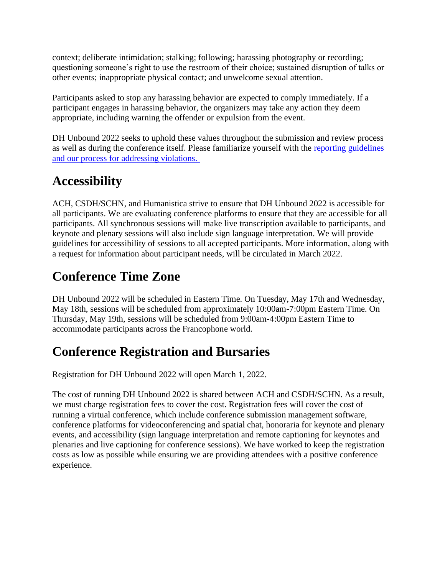context; deliberate intimidation; stalking; following; harassing photography or recording; questioning someone's right to use the restroom of their choice; sustained disruption of talks or other events; inappropriate physical contact; and unwelcome sexual attention.

Participants asked to stop any harassing behavior are expected to comply immediately. If a participant engages in harassing behavior, the organizers may take any action they deem appropriate, including warning the offender or expulsion from the event.

DH Unbound 2022 seeks to uphold these values throughout the submission and review process as well as during the conference itself. Please familiarize yourself with the [reporting guidelines](https://dhunbound2022.ach.org/code-of-conduct/)  [and our process for addressing violations.](https://dhunbound2022.ach.org/code-of-conduct/)

### **Accessibility**

ACH, CSDH/SCHN, and Humanistica strive to ensure that DH Unbound 2022 is accessible for all participants. We are evaluating conference platforms to ensure that they are accessible for all participants. All synchronous sessions will make live transcription available to participants, and keynote and plenary sessions will also include sign language interpretation. We will provide guidelines for accessibility of sessions to all accepted participants. More information, along with a request for information about participant needs, will be circulated in March 2022.

## **Conference Time Zone**

DH Unbound 2022 will be scheduled in Eastern Time. On Tuesday, May 17th and Wednesday, May 18th, sessions will be scheduled from approximately 10:00am-7:00pm Eastern Time. On Thursday, May 19th, sessions will be scheduled from 9:00am-4:00pm Eastern Time to accommodate participants across the Francophone world.

## **Conference Registration and Bursaries**

Registration for DH Unbound 2022 will open March 1, 2022.

The cost of running DH Unbound 2022 is shared between ACH and CSDH/SCHN. As a result, we must charge registration fees to cover the cost. Registration fees will cover the cost of running a virtual conference, which include conference submission management software, conference platforms for videoconferencing and spatial chat, honoraria for keynote and plenary events, and accessibility (sign language interpretation and remote captioning for keynotes and plenaries and live captioning for conference sessions). We have worked to keep the registration costs as low as possible while ensuring we are providing attendees with a positive conference experience.